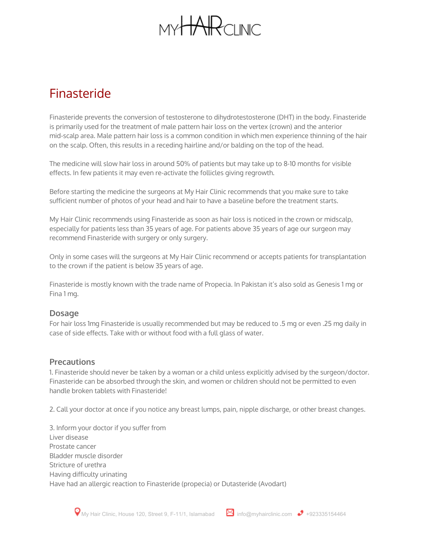# $M \vee H\rightarrow P$  $N$

### Finasteride

Finasteride prevents the conversion of testosterone to dihydrotestosterone (DHT) in the body. Finasteride is primarily used for the treatment of male pattern hair loss on the vertex (crown) and the anterior mid-scalp area. Male pattern hair loss is a common condition in which men experience thinning of the hair on the scalp. Often, this results in a receding hairline and/or balding on the top of the head.

The medicine will slow hair loss in around 50% of patients but may take up to 8-10 months for visible effects. In few patients it may even re-activate the follicles giving regrowth.

Before starting the medicine the surgeons at My Hair Clinic recommends that you make sure to take sufficient number of photos of your head and hair to have a baseline before the treatment starts.

My Hair Clinic recommends using Finasteride as soon as hair loss is noticed in the crown or midscalp, especially for patients less than 35 years of age. For patients above 35 years of age our surgeon may recommend Finasteride with surgery or only surgery.

Only in some cases will the surgeons at My Hair Clinic recommend or accepts patients for transplantation to the crown if the patient is below 35 years of age.

Finasteride is mostly known with the trade name of Propecia. In Pakistan it's also sold as Genesis 1 mg or Fina 1 mg.

### **Dosage**

For hair loss 1mg Finasteride is usually recommended but may be reduced to .5 mg or even .25 mg daily in case of side effects. Take with or without food with a full glass of water.

### **Precautions**

1. Finasteride should never be taken by a woman or a child unless explicitly advised by the surgeon/doctor. Finasteride can be absorbed through the skin, and women or children should not be permitted to even handle broken tablets with Finasteride!

2. Call your doctor at once if you notice any breast lumps, pain, nipple discharge, or other breast changes.

3. Inform your doctor if you suffer from Liver disease Prostate cancer Bladder muscle disorder Stricture of urethra Having difficulty urinating Have had an allergic reaction to Finasteride (propecia) or Dutasteride (Avodart)